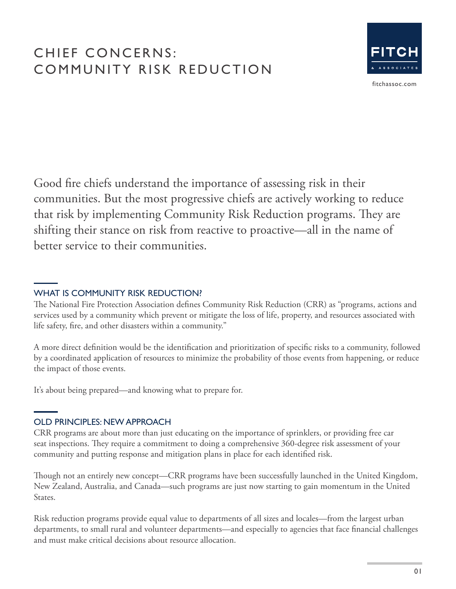# CHIEF CONCERNS: COMMUNITY RISK REDUCTION



fitchassoc.com

Good fire chiefs understand the importance of assessing risk in their communities. But the most progressive chiefs are actively working to reduce that risk by implementing Community Risk Reduction programs. They are shifting their stance on risk from reactive to proactive—all in the name of better service to their communities.

## WHAT IS COMMUNITY RISK REDUCTION?

The National Fire Protection Association defines Community Risk Reduction (CRR) as "programs, actions and services used by a community which prevent or mitigate the loss of life, property, and resources associated with life safety, fire, and other disasters within a community."

A more direct definition would be the identification and prioritization of specific risks to a community, followed by a coordinated application of resources to minimize the probability of those events from happening, or reduce the impact of those events.

It's about being prepared—and knowing what to prepare for.

## OLD PRINCIPLES: NEW APPROACH

CRR programs are about more than just educating on the importance of sprinklers, or providing free car seat inspections. They require a commitment to doing a comprehensive 360-degree risk assessment of your community and putting response and mitigation plans in place for each identified risk.

Though not an entirely new concept—CRR programs have been successfully launched in the United Kingdom, New Zealand, Australia, and Canada—such programs are just now starting to gain momentum in the United States.

Risk reduction programs provide equal value to departments of all sizes and locales—from the largest urban departments, to small rural and volunteer departments—and especially to agencies that face financial challenges and must make critical decisions about resource allocation.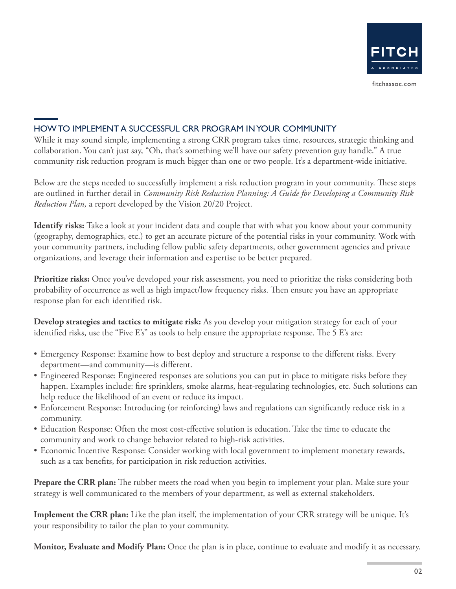

## HOW TO IMPLEMENT A SUCCESSFUL CRR PROGRAM IN YOUR COMMUNITY

While it may sound simple, implementing a strong CRR program takes time, resources, strategic thinking and collaboration. You can't just say, "Oh, that's something we'll have our safety prevention guy handle." A true community risk reduction program is much bigger than one or two people. It's a department-wide initiative.

Below are the steps needed to successfully implement a risk reduction program in your community. These steps are outlined in further detail in *[Community Risk Reduction Planning: A Guide for Developing a Community Risk](http://strategicfire.org/wp-content/uploads/2016/04/CRR-Planning-Guide-v3.pdf)  [Reduction Plan](http://strategicfire.org/wp-content/uploads/2016/04/CRR-Planning-Guide-v3.pdf),* a report developed by the Vision 20/20 Project.

**Identify risks:** Take a look at your incident data and couple that with what you know about your community (geography, demographics, etc.) to get an accurate picture of the potential risks in your community. Work with your community partners, including fellow public safety departments, other government agencies and private organizations, and leverage their information and expertise to be better prepared.

**Prioritize risks:** Once you've developed your risk assessment, you need to prioritize the risks considering both probability of occurrence as well as high impact/low frequency risks. Then ensure you have an appropriate response plan for each identified risk.

**Develop strategies and tactics to mitigate risk:** As you develop your mitigation strategy for each of your identified risks, use the "Five E's" as tools to help ensure the appropriate response. The 5 E's are:

- Emergency Response: Examine how to best deploy and structure a response to the different risks. Every department—and community—is different.
- Engineered Response: Engineered responses are solutions you can put in place to mitigate risks before they happen. Examples include: fire sprinklers, smoke alarms, heat-regulating technologies, etc. Such solutions can help reduce the likelihood of an event or reduce its impact.
- Enforcement Response: Introducing (or reinforcing) laws and regulations can significantly reduce risk in a community.
- Education Response: Often the most cost-effective solution is education. Take the time to educate the community and work to change behavior related to high-risk activities.
- Economic Incentive Response: Consider working with local government to implement monetary rewards, such as a tax benefits, for participation in risk reduction activities.

**Prepare the CRR plan:** The rubber meets the road when you begin to implement your plan. Make sure your strategy is well communicated to the members of your department, as well as external stakeholders.

**Implement the CRR plan:** Like the plan itself, the implementation of your CRR strategy will be unique. It's your responsibility to tailor the plan to your community.

**Monitor, Evaluate and Modify Plan:** Once the plan is in place, continue to evaluate and modify it as necessary.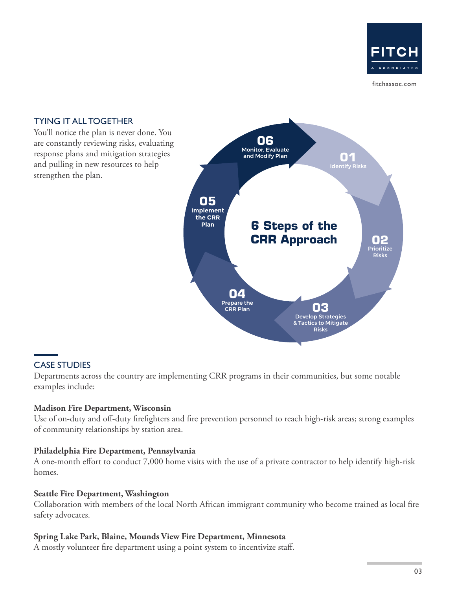

fitchassoc.com

#### **6 Steps of the CRR Approach 01** Identify Risks **06** Monitor, Evaluate and Modify Plan **02** Prioritize Risks **05 Implement the CRR Plan 03** Develop Strategies & Tactics to Mitigate Risks **04** Prepare the CRR Plan TYING IT ALL TOGETHER You'll notice the plan is never done. You are constantly reviewing risks, evaluating response plans and mitigation strategies and pulling in new resources to help strengthen the plan.

## CASE STUDIES

Departments across the country are implementing CRR programs in their communities, but some notable examples include:

#### **Madison Fire Department, Wisconsin**

Use of on-duty and off-duty firefighters and fire prevention personnel to reach high-risk areas; strong examples of community relationships by station area.

### **Philadelphia Fire Department, Pennsylvania**

A one-month effort to conduct 7,000 home visits with the use of a private contractor to help identify high-risk homes.

#### **Seattle Fire Department, Washington**

Collaboration with members of the local North African immigrant community who become trained as local fire safety advocates.

### **Spring Lake Park, Blaine, Mounds View Fire Department, Minnesota**

A mostly volunteer fire department using a point system to incentivize staff.